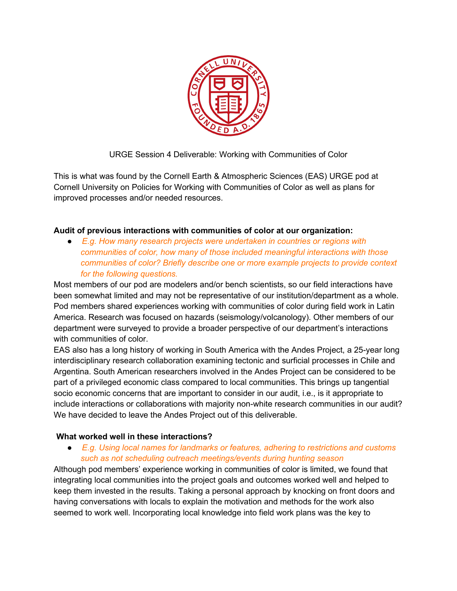

URGE Session 4 Deliverable: Working with Communities of Color

This is what was found by the Cornell Earth & Atmospheric Sciences (EAS) URGE pod at Cornell University on Policies for Working with Communities of Color as well as plans for improved processes and/or needed resources.

## **Audit of previous interactions with communities of color at our organization:**

● *E.g. How many research projects were undertaken in countries or regions with communities of color, how many of those included meaningful interactions with those communities of color? Briefly describe one or more example projects to provide context for the following questions.*

Most members of our pod are modelers and/or bench scientists, so our field interactions have been somewhat limited and may not be representative of our institution/department as a whole. Pod members shared experiences working with communities of color during field work in Latin America. Research was focused on hazards (seismology/volcanology). Other members of our department were surveyed to provide a broader perspective of our department's interactions with communities of color.

EAS also has a long history of working in South America with the Andes Project, a 25-year long interdisciplinary research collaboration examining tectonic and surficial processes in Chile and Argentina. South American researchers involved in the Andes Project can be considered to be part of a privileged economic class compared to local communities. This brings up tangential socio economic concerns that are important to consider in our audit, i.e., is it appropriate to include interactions or collaborations with majority non-white research communities in our audit? We have decided to leave the Andes Project out of this deliverable.

#### **What worked well in these interactions?**

● *E.g. Using local names for landmarks or features, adhering to restrictions and customs such as not scheduling outreach meetings/events during hunting season*

Although pod members' experience working in communities of color is limited, we found that integrating local communities into the project goals and outcomes worked well and helped to keep them invested in the results. Taking a personal approach by knocking on front doors and having conversations with locals to explain the motivation and methods for the work also seemed to work well. Incorporating local knowledge into field work plans was the key to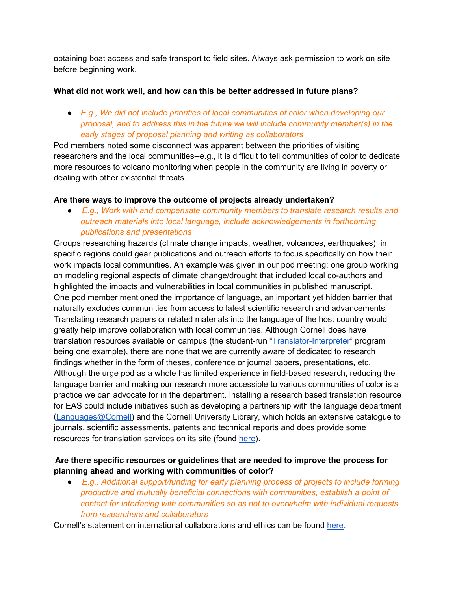obtaining boat access and safe transport to field sites. Always ask permission to work on site before beginning work.

### **What did not work well, and how can this be better addressed in future plans?**

● *E.g., We did not include priorities of local communities of color when developing our proposal, and to address this in the future we will include community member(s) in the early stages of proposal planning and writing as collaborators*

Pod members noted some disconnect was apparent between the priorities of visiting researchers and the local communities--e.g., it is difficult to tell communities of color to dedicate more resources to volcano monitoring when people in the community are living in poverty or dealing with other existential threats.

### **Are there ways to improve the outcome of projects already undertaken?**

● *E.g., Work with and compensate community members to translate research results and outreach materials into local language, include acknowledgements in forthcoming publications and presentations*

Groups researching hazards (climate change impacts, weather, volcanoes, earthquakes) in specific regions could gear publications and outreach efforts to focus specifically on how their work impacts local communities. An example was given in our pod meeting: one group working on modeling regional aspects of climate change/drought that included local co-authors and highlighted the impacts and vulnerabilities in local communities in published manuscript. One pod member mentioned the importance of language, an important yet hidden barrier that naturally excludes communities from access to latest scientific research and advancements. Translating research papers or related materials into the language of the host country would greatly help improve collaboration with local communities. Although Cornell does have translation resources available on campus (the student-run ["Translator-Interpreter"](https://cornell.campusgroups.com/tip/home/) program being one example), there are none that we are currently aware of dedicated to research findings whether in the form of theses, conference or journal papers, presentations, etc. Although the urge pod as a whole has limited experience in field-based research, reducing the language barrier and making our research more accessible to various communities of color is a practice we can advocate for in the department. Installing a research based translation resource for EAS could include initiatives such as developing a partnership with the language department [\(Languages@Cornell\)](https://lrc.cornell.edu/languages-cornell) and the Cornell University Library, which holds an extensive catalogue to journals, scientific assessments, patents and technical reports and does provide some resources for translation services on its site (found [here\)](https://guides.library.cornell.edu/c.php?g=31095&p=199027).

# **Are there specific resources or guidelines that are needed to improve the process for planning ahead and working with communities of color?**

● *E.g., Additional support/funding for early planning process of projects to include forming productive and mutually beneficial connections with communities, establish a point of contact for interfacing with communities so as not to overwhelm with individual requests from researchers and collaborators*

Cornell's statement on international collaborations and ethics can be found [here](https://statements.cornell.edu/2019/20191114-guidelines-ethical-international-engagement.cfm)**.**